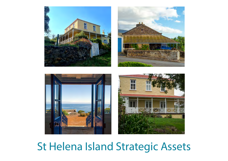





## St Helena Island Strategic Assets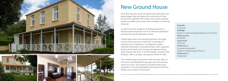

## New Ground House

Set at the top east corner of a generously sized plot, just below Sapper Way and above the community of New Ground, this splendid 19th century two-storey property boasts incredible scenic views that complete its charming character.

In 1910 it was the residence of Acting Governor H.J. Bovell and previously the site of an extensive plantation, possibly housing the plantation owner.

Tucked away within the expansive grounds, this large country style manor has a first floor consisting of 3 bedrooms and 1 bathroom. A traditional wooden staircase leads down to the ground floor, with a spacious kitchen at the back, and a lounge and adjacent dining room towards the front. A second lounge, complete with fireplace, offers a private, cosy spacein which to relax.

The veranda wraps around the north and west sides of the house, overlooking the open grounds and amazing views out to sea. The property is located within close proximity to the well-populated community of Half Tree Hollow, just outside of Jamestown.

**Grounds:** 1.38 acres **Building:** Grade 3 Listed Heritage Building circa 227.8m2 **Reserve price:** £238,300 **Lease term:**  199 years **Preference 1:** Commercial activities (subject to planning permission) **Preference 2:** Residential

*Terms and conditions apply. SHG's Sustainable Development team is the first contact point for investors and can be contacted via Melissa.fowler@sainthelena.gov.sh or +290 22470.*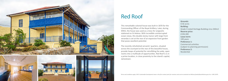



This remarkable colonial house was built in 1870 for the Commanding Officer of the Royal Artillery. Later, during WW2, the house was used as a mess for sergeants stationed on St Helena. With incredible uninterrupted ocean views, this double-storey manor with large front verandas is set at the rear of an expansive front garden that poses excellent potential.

The recently refurbished servants' quarters, situated across the courtyard at the rear of this beautiful house, provide heaps of potential for retrofitting the wide, open rooms into a multitude of opportunities. Red Roof is is in a prime location, in close proximity to the island's capital, Jamestown.







Terms and conditions apply. SHG's Sustainable Development team is the first contact point for investors and can be contacted via Melissa.fowler@sainthelena.gov.sh or +290 22470.

**Grounds:** 0.56 acres **Building:** Grade 3 Listed Heritage Building circa 340m2 **Reserve price:** £194,300 **Lease term:**  199 years **Preference 1:** Commercial activities (subject to planning permission) **Preference 2:** Residential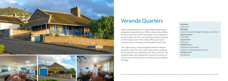







## Veranda Quarters

Lower Veranda Quarters is a beautifully crafted stone bungalow originally built in 1900 to house Navy officers. Found at the foot of Half Tree Hollow and situated just behind Ladder Hill Fort, this perfectly positioned house on the leeward side of the island offers year-round sunshine and an amazing, uninterrupted ocean view.

The single-storey, six-bay bungalow features integral verandas under the main roofs, finely built in exposed stone with terraces, adjoining walls and a chimney. This property offers any prospective investor the chance to secure a part of the island's rich history and wonderful heritage.

**Grounds:** 0.14 acres **Building:** Grade 3 Listed Heritage Building circa 159m2 **Reserve price:** £140,800 **Lease term:**  199 years **Preference 1:** Commercial activities (subject to planning permission) **Preference 2:** Residential

*Terms and conditions apply. SHG's Sustainable Development team is the first contact point for investors and can be contacted via Melissa.fowler@sainthelena.gov.sh or +290 22470.*